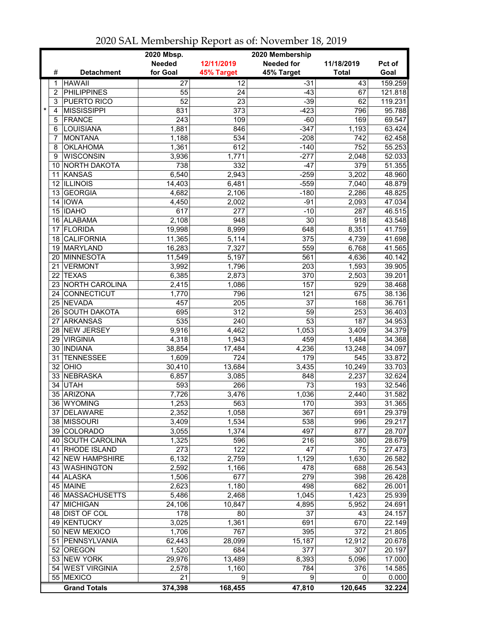|         |                 |                      | 2020 Mbsp.<br>2020 Membership |                  |                   |              |               |  |  |
|---------|-----------------|----------------------|-------------------------------|------------------|-------------------|--------------|---------------|--|--|
|         |                 |                      | <b>Needed</b>                 | 12/11/2019       | <b>Needed for</b> | 11/18/2019   | <b>Pct of</b> |  |  |
|         | #               | <b>Detachment</b>    | for Goal                      | 45% Target       | 45% Target        | <b>Total</b> | Goal          |  |  |
|         | 1               | <b>HAWAII</b>        | $\overline{27}$               | 12               | $-31$             | 43           | 159.259       |  |  |
|         | $\overline{2}$  | <b>PHILIPPINES</b>   | 55                            | 24               | $-43$             | 67           | 121.818       |  |  |
|         | 3               | PUERTO RICO          | $\overline{52}$               | $\overline{23}$  | $-39$             | 62           | 119.231       |  |  |
| $\star$ | 4               | <b>MISSISSIPPI</b>   | 831                           | 373              | $-423$            | 796          | 95.788        |  |  |
|         | 5               | <b>FRANCE</b>        | 243                           | 109              | $-60$             | 169          | 69.547        |  |  |
|         | 6               | <b>LOUISIANA</b>     | 1,881                         | 846              | $-347$            | 1,193        | 63.424        |  |  |
|         | 7               | <b>MONTANA</b>       | 1,188                         | 534              | $-208$            | 742          | 62.458        |  |  |
|         | 8               | <b>OKLAHOMA</b>      | 1,361                         | 612              | $-140$            | 752          | 55.253        |  |  |
|         | 9               | <b>WISCONSIN</b>     | 3,936                         | 1,771            | $-277$            | 2,048        | 52.033        |  |  |
|         | 10              | NORTH DAKOTA         | 738                           | 332              | $-47$             | 379          | 51.355        |  |  |
|         | 11              | KANSAS               | 6,540                         | 2,943            | $-259$            | 3,202        | 48.960        |  |  |
|         |                 | 12 ILLINOIS          | 14,403                        | 6,481            | $-559$            | 7,040        | 48.879        |  |  |
|         | 13              | <b>GEORGIA</b>       | 4,682                         | 2,106            | $-180$            | 2,286        | 48.825        |  |  |
|         |                 | 14 IOWA              | 4,450                         | 2,002            | $-91$             | 2,093        | 47.034        |  |  |
|         |                 | 15 IDAHO             | 617                           | 277              | $-10$             | 287          | 46.515        |  |  |
|         |                 | 16 ALABAMA           | 2,108                         | 948              | 30                | 918          | 43.548        |  |  |
|         | 17              | <b>FLORIDA</b>       | 19,998                        | 8,999            | 648               | 8,351        | 41.759        |  |  |
|         | 18              | <b>CALIFORNIA</b>    | 11,365                        | 5,114            | 375               | 4,739        | 41.698        |  |  |
|         | 19              | MARYLAND             | 16,283                        | 7,327            | 559               | 6,768        | 41.565        |  |  |
|         | 20              | MINNESOTA            | 11,549                        | 5,197            | 561               | 4,636        | 40.142        |  |  |
|         | 21              | <b>VERMONT</b>       | 3,992                         | 1,796            | 203               | 1,593        | 39.905        |  |  |
|         | 22              | <b>TEXAS</b>         | 6,385                         | 2,873            | 370               | 2,503        | 39.201        |  |  |
|         | 23              | NORTH CAROLINA       | 2,415                         | 1,086            | 157               | 929          | 38.468        |  |  |
|         | 24              | <b>CONNECTICUT</b>   | 1,770                         | 796              | 121               | 675          | 38.136        |  |  |
|         | 25              | NEVADA               | 457                           | 205              | 37                | 168          | 36.761        |  |  |
|         |                 | 26 SOUTH DAKOTA      | 695                           | $\overline{312}$ | $\overline{59}$   | 253          | 36.403        |  |  |
|         | 27              | <b>ARKANSAS</b>      | 535                           | $\overline{240}$ | $\overline{53}$   | 187          | 34.953        |  |  |
|         | 28              | NEW JERSEY           | 9,916                         | 4,462            | 1,053             | 3,409        | 34.379        |  |  |
|         |                 | 29 VIRGINIA          | 4,318                         | 1,943            | 459               | 1,484        | 34.368        |  |  |
|         |                 | 30 INDIANA           | 38,854                        | 17,484           | 4,236             | 13,248       | 34.097        |  |  |
|         | 31              | <b>TENNESSEE</b>     | 1,609                         | 724              | 179               | 545          | 33.872        |  |  |
|         | 32 <sup>2</sup> | OHIO                 | 30,410                        | 13,684           | 3,435             | 10,249       | 33.703        |  |  |
|         |                 | 33 NEBRASKA          | 6,857                         | 3,085            | 848               | 2,237        | 32.624        |  |  |
|         | 34              | <b>UTAH</b>          | 593                           | 266              | 73                | 193          | 32.546        |  |  |
|         |                 | 35 ARIZONA           | 7,726                         | 3,476            | 1,036             | 2,440        | 31.582        |  |  |
|         |                 | 36 WYOMING           | 1,253                         | 563              | 170               | 393          | 31.365        |  |  |
|         | 37              | <b>DELAWARE</b>      | 2,352                         | 1,058            | 367               | 691          | 29.379        |  |  |
|         |                 | 38 MISSOURI          | 3,409                         | 1,534            | 538               | 996          | 29.217        |  |  |
|         |                 | 39 COLORADO          | 3,055                         | 1,374            | 497               | 877          | 28.707        |  |  |
|         |                 | 40 SOUTH CAROLINA    | 1,325                         | 596              | 216               | 380          | 28.679        |  |  |
|         | 41              | <b>RHODE ISLAND</b>  | 273                           | 122              | $\overline{47}$   | 75           | 27.473        |  |  |
|         | 42              | <b>NEW HAMPSHIRE</b> | 6,132                         | 2,759            | 1,129             | 1,630        | 26.582        |  |  |
|         |                 | 43 WASHINGTON        | 2,592                         | 1,166            | 478               | 688          | 26.543        |  |  |
|         |                 | 44 ALASKA            | 1,506                         | 677              | 279               | 398          | 26.428        |  |  |
|         |                 | 45 MAINE             | 2,623                         | 1,180            | 498               | 682          | 26.001        |  |  |
|         |                 | 46   MASSACHUSETTS   | 5,486                         | 2,468            | 1,045             | 1,423        | 25.939        |  |  |
|         |                 | 47 MICHIGAN          | 24,106                        | 10,847           | 4,895             | 5,952        | 24.691        |  |  |
|         |                 | 48 DIST OF COL       | 178                           | 80               | 37                | 43           | 24.157        |  |  |
|         |                 | 49 KENTUCKY          | 3,025                         | 1,361            | 691               | 670          | 22.149        |  |  |
|         |                 | 50 NEW MEXICO        | 1,706                         | 767              | 395               | 372          | 21.805        |  |  |
|         | 51              | PENNSYLVANIA         | 62,443                        | 28,099           | 15,187            | 12,912       | 20.678        |  |  |
|         | 52              | <b>OREGON</b>        | 1,520                         | 684              | 377               | 307          | 20.197        |  |  |
|         |                 | 53 NEW YORK          | 29,976                        | 13,489           | 8,393             | 5,096        | 17.000        |  |  |
|         |                 | 54 WEST VIRGINIA     | 2,578                         | 1,160            | 784               | 376          | 14.585        |  |  |
|         |                 | 55 MEXICO            | 21                            | 9                | 9                 | 0            | 0.000         |  |  |
|         |                 | <b>Grand Totals</b>  | 374,398                       | 168,455          | 47,810            | 120,645      | 32.224        |  |  |

2020 SAL Membership Report as of: November 18, 2019